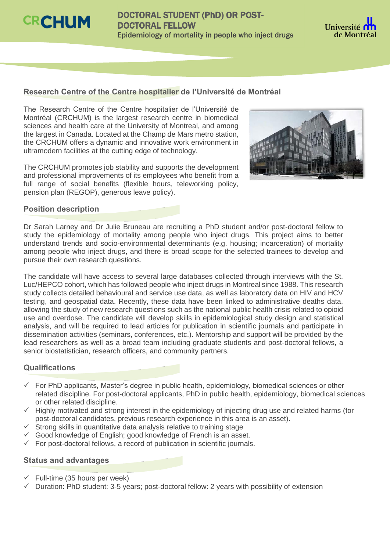

# DOCTORAL STUDENT (PhD) OR POST-DOCTORAL FELLOW Epidemiology of mortality in people who inject drugs



# **Research Centre of the Centre hospitalier de l'Université de Montréal**

The Research Centre of the Centre hospitalier de l'Université de Montréal (CRCHUM) is the largest research centre in biomedical sciences and health care at the University of Montreal, and among the largest in Canada. Located at the Champ de Mars metro station, the CRCHUM offers a dynamic and innovative work environment in ultramodern facilities at the cutting edge of technology.

The CRCHUM promotes job stability and supports the development and professional improvements of its employees who benefit from a full range of social benefits (flexible hours, teleworking policy, pension plan (REGOP), generous leave policy).



#### **Position description**

Dr Sarah Larney and Dr Julie Bruneau are recruiting a PhD student and/or post-doctoral fellow to study the epidemiology of mortality among people who inject drugs. This project aims to better understand trends and socio-environmental determinants (e.g. housing; incarceration) of mortality among people who inject drugs, and there is broad scope for the selected trainees to develop and pursue their own research questions.

The candidate will have access to several large databases collected through interviews with the St. Luc/HEPCO cohort, which has followed people who inject drugs in Montreal since 1988. This research study collects detailed behavioural and service use data, as well as laboratory data on HIV and HCV testing, and geospatial data. Recently, these data have been linked to administrative deaths data, allowing the study of new research questions such as the national public health crisis related to opioid use and overdose. The candidate will develop skills in epidemiological study design and statistical analysis, and will be required to lead articles for publication in scientific journals and participate in dissemination activities (seminars, conferences, etc.). Mentorship and support will be provided by the lead researchers as well as a broad team including graduate students and post-doctoral fellows, a senior biostatistician, research officers, and community partners.

## **Qualifications**

- $\checkmark$  For PhD applicants, Master's degree in public health, epidemiology, biomedical sciences or other related discipline. For post-doctoral applicants, PhD in public health, epidemiology, biomedical sciences or other related discipline.
- $\checkmark$  Highly motivated and strong interest in the epidemiology of injecting drug use and related harms (for post-doctoral candidates, previous research experience in this area is an asset).
- $\checkmark$  Strong skills in quantitative data analysis relative to training stage
- $\checkmark$  Good knowledge of English; good knowledge of French is an asset.
- $\checkmark$  For post-doctoral fellows, a record of publication in scientific journals.

## **Status and advantages**

- $\checkmark$  Full-time (35 hours per week)
- Duration: PhD student: 3-5 years; post-doctoral fellow: 2 years with possibility of extension